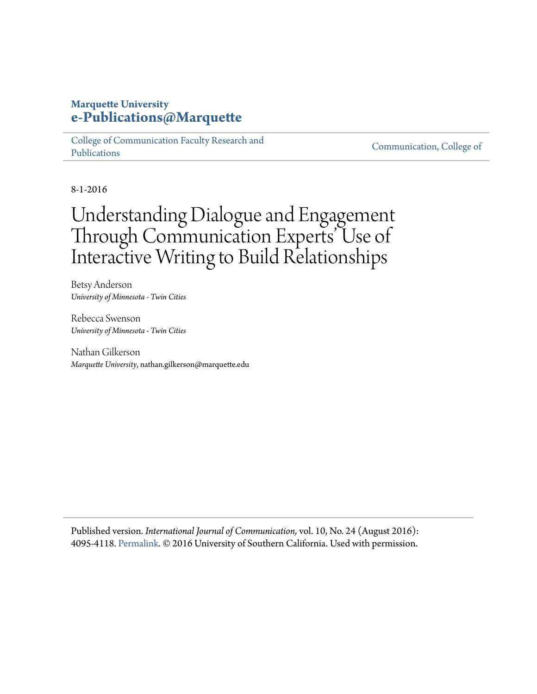# **Marquette University [e-Publications@Marquette](https://epublications.marquette.edu)**

[College of Communication Faculty Research and](https://epublications.marquette.edu/comm_fac) [Publications](https://epublications.marquette.edu/comm_fac)

[Communication, College of](https://epublications.marquette.edu/communication)

8-1-2016

# Understanding Dialogue and Engagement Through Communication Experts' Use of Interactive Writing to Build Relationships

Betsy Anderson *University of Minnesota - Twin Cities*

Rebecca Swenson *University of Minnesota - Twin Cities*

Nathan Gilkerson *Marquette University*, nathan.gilkerson@marquette.edu

Published version. *International Journal of Communication,* vol. 10, No. 24 (August 2016): 4095-4118. [Permalink.](http://ijoc.org/index.php/ijoc/article/view/4569) © 2016 University of Southern California. Used with permission.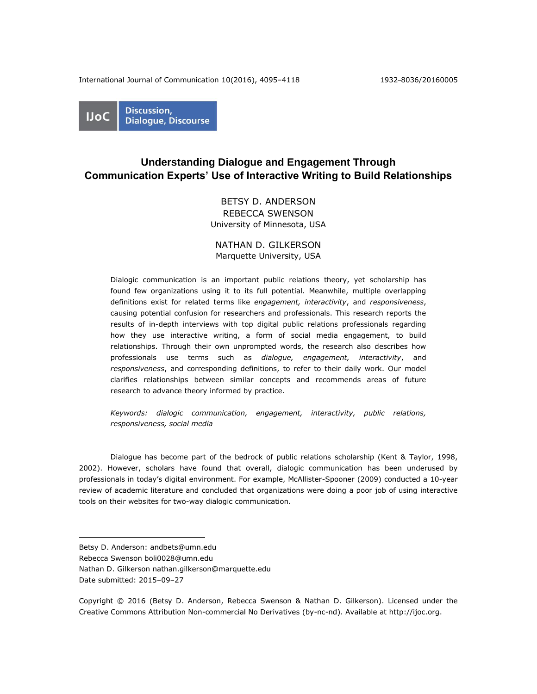International Journal of Communication 10(2016), 4095–4118 1932–8036/20160005



# **Understanding Dialogue and Engagement Through Communication Experts' Use of Interactive Writing to Build Relationships**

# BETSY D. ANDERSON REBECCA SWENSON University of Minnesota, USA

## NATHAN D. GILKERSON Marquette University, USA

Dialogic communication is an important public relations theory, yet scholarship has found few organizations using it to its full potential. Meanwhile, multiple overlapping definitions exist for related terms like *engagement, interactivity*, and *responsiveness*, causing potential confusion for researchers and professionals. This research reports the results of in-depth interviews with top digital public relations professionals regarding how they use interactive writing, a form of social media engagement, to build relationships. Through their own unprompted words, the research also describes how professionals use terms such as *dialogue, engagement, interactivity*, and *responsiveness*, and corresponding definitions, to refer to their daily work. Our model clarifies relationships between similar concepts and recommends areas of future research to advance theory informed by practice.

*Keywords: dialogic communication, engagement, interactivity, public relations, responsiveness, social media*

Dialogue has become part of the bedrock of public relations scholarship (Kent & Taylor, 1998, 2002). However, scholars have found that overall, dialogic communication has been underused by professionals in today's digital environment. For example, McAllister-Spooner (2009) conducted a 10-year review of academic literature and concluded that organizations were doing a poor job of using interactive tools on their websites for two-way dialogic communication.

Date submitted: 2015–09–27

 $\overline{a}$ 

Betsy D. Anderson: andbets@umn.edu

Rebecca Swenson boli0028@umn.edu

Nathan D. Gilkerson nathan.gilkerson@marquette.edu

Copyright © 2016 (Betsy D. Anderson, Rebecca Swenson & Nathan D. Gilkerson). Licensed under the Creative Commons Attribution Non-commercial No Derivatives (by-nc-nd). Available at [http://ijoc.org.](http://ijoc.org/)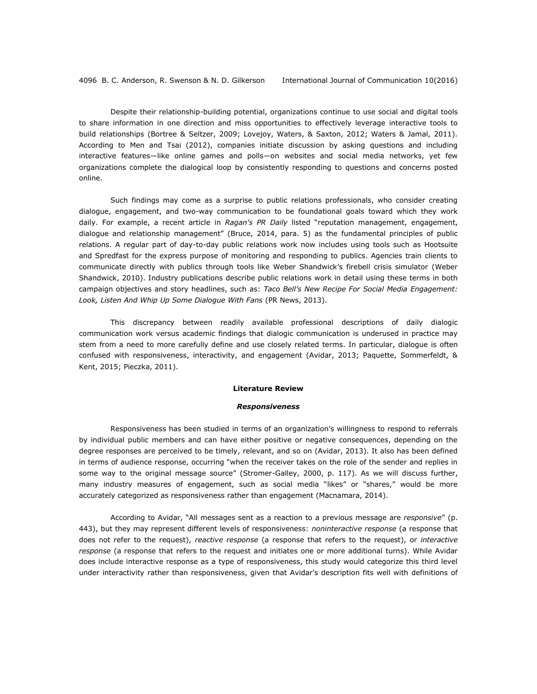Despite their relationship-building potential, organizations continue to use social and digital tools to share information in one direction and miss opportunities to effectively leverage interactive tools to build relationships (Bortree & Seltzer, 2009; Lovejoy, Waters, & Saxton, 2012; Waters & Jamal, 2011). According to Men and Tsai (2012), companies initiate discussion by asking questions and including interactive features—like online games and polls—on websites and social media networks, yet few organizations complete the dialogical loop by consistently responding to questions and concerns posted online.

Such findings may come as a surprise to public relations professionals, who consider creating dialogue, engagement, and two-way communication to be foundational goals toward which they work daily. For example, a recent article in *Ragan's PR Daily* listed "reputation management, engagement, dialogue and relationship management" (Bruce, 2014, para. 5) as the fundamental principles of public relations. A regular part of day-to-day public relations work now includes using tools such as Hootsuite and Spredfast for the express purpose of monitoring and responding to publics. Agencies train clients to communicate directly with publics through tools like Weber Shandwick's firebell crisis simulator (Weber Shandwick, 2010). Industry publications describe public relations work in detail using these terms in both campaign objectives and story headlines, such as: *Taco Bell's New Recipe For Social Media Engagement: Look, Listen And Whip Up Some Dialogue With Fans* (PR News, 2013).

This discrepancy between readily available professional descriptions of daily dialogic communication work versus academic findings that dialogic communication is underused in practice may stem from a need to more carefully define and use closely related terms. In particular, dialogue is often confused with responsiveness, interactivity, and engagement (Avidar, 2013; Paquette, Sommerfeldt, & Kent, 2015; Pieczka, 2011).

#### **Literature Review**

#### *Responsiveness*

Responsiveness has been studied in terms of an organization's willingness to respond to referrals by individual public members and can have either positive or negative consequences, depending on the degree responses are perceived to be timely, relevant, and so on (Avidar, 2013). It also has been defined in terms of audience response, occurring "when the receiver takes on the role of the sender and replies in some way to the original message source" (Stromer-Galley, 2000, p. 117). As we will discuss further, many industry measures of engagement, such as social media "likes" or "shares," would be more accurately categorized as responsiveness rather than engagement (Macnamara, 2014).

According to Avidar, "All messages sent as a reaction to a previous message are *responsive*" (p. 443), but they may represent different levels of responsiveness: *noninteractive response* (a response that does not refer to the request), *reactive response* (a response that refers to the request), or *interactive response* (a response that refers to the request and initiates one or more additional turns). While Avidar does include interactive response as a type of responsiveness, this study would categorize this third level under interactivity rather than responsiveness, given that Avidar's description fits well with definitions of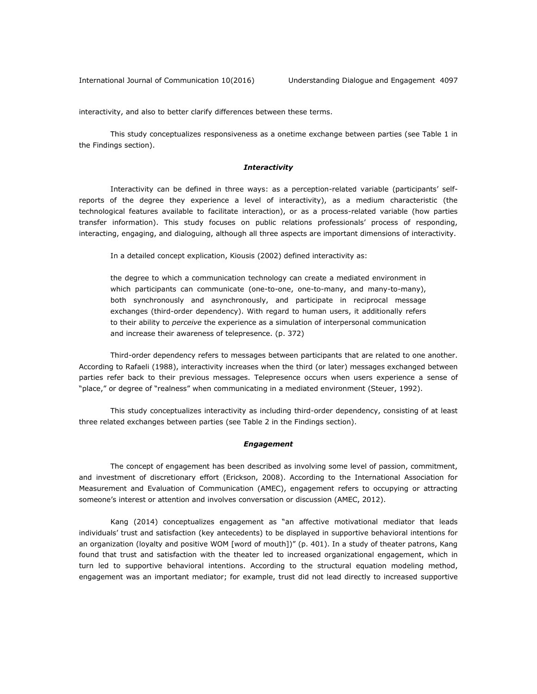interactivity, and also to better clarify differences between these terms.

This study conceptualizes responsiveness as a onetime exchange between parties (see Table 1 in the Findings section).

#### *Interactivity*

Interactivity can be defined in three ways: as a perception-related variable (participants' selfreports of the degree they experience a level of interactivity), as a medium characteristic (the technological features available to facilitate interaction), or as a process-related variable (how parties transfer information). This study focuses on public relations professionals' process of responding, interacting, engaging, and dialoguing, although all three aspects are important dimensions of interactivity.

In a detailed concept explication, Kiousis (2002) defined interactivity as:

the degree to which a communication technology can create a mediated environment in which participants can communicate (one-to-one, one-to-many, and many-to-many), both synchronously and asynchronously, and participate in reciprocal message exchanges (third-order dependency). With regard to human users, it additionally refers to their ability to *perceive* the experience as a simulation of interpersonal communication and increase their awareness of telepresence. (p. 372)

Third-order dependency refers to messages between participants that are related to one another. According to Rafaeli (1988), interactivity increases when the third (or later) messages exchanged between parties refer back to their previous messages. Telepresence occurs when users experience a sense of "place," or degree of "realness" when communicating in a mediated environment (Steuer, 1992).

This study conceptualizes interactivity as including third-order dependency, consisting of at least three related exchanges between parties (see Table 2 in the Findings section).

#### *Engagement*

The concept of engagement has been described as involving some level of passion, commitment, and investment of discretionary effort (Erickson, 2008). According to the International Association for Measurement and Evaluation of Communication (AMEC), engagement refers to occupying or attracting someone's interest or attention and involves conversation or discussion (AMEC, 2012).

Kang (2014) conceptualizes engagement as "an affective motivational mediator that leads individuals' trust and satisfaction (key antecedents) to be displayed in supportive behavioral intentions for an organization (loyalty and positive WOM [word of mouth])" (p. 401). In a study of theater patrons, Kang found that trust and satisfaction with the theater led to increased organizational engagement, which in turn led to supportive behavioral intentions. According to the structural equation modeling method, engagement was an important mediator; for example, trust did not lead directly to increased supportive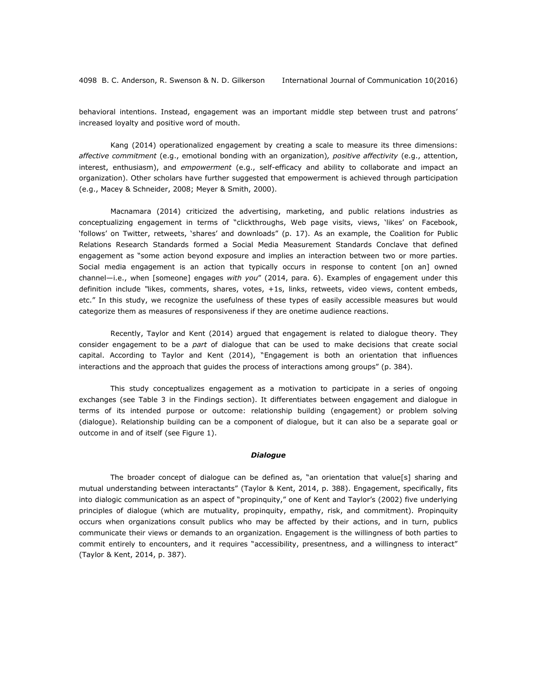behavioral intentions. Instead, engagement was an important middle step between trust and patrons' increased loyalty and positive word of mouth.

Kang (2014) operationalized engagement by creating a scale to measure its three dimensions: *affective commitment* (e.g., emotional bonding with an organization)*, positive affectivity* (e.g., attention, interest, enthusiasm), and *empowerment* (e.g., self-efficacy and ability to collaborate and impact an organization). Other scholars have further suggested that empowerment is achieved through participation (e.g., Macey & Schneider, 2008; Meyer & Smith, 2000).

Macnamara (2014) criticized the advertising, marketing, and public relations industries as conceptualizing engagement in terms of "clickthroughs, Web page visits, views, 'likes' on Facebook, 'follows' on Twitter, retweets, 'shares' and downloads" (p. 17). As an example, the Coalition for Public Relations Research Standards formed a Social Media Measurement Standards Conclave that defined engagement as "some action beyond exposure and implies an interaction between two or more parties. Social media engagement is an action that typically occurs in response to content [on an] owned channel—i.e., when [someone] engages *with you*" (2014, para. 6). Examples of engagement under this definition include *"*likes, comments, shares, votes, +1s, links, retweets, video views, content embeds, etc." In this study, we recognize the usefulness of these types of easily accessible measures but would categorize them as measures of responsiveness if they are onetime audience reactions.

Recently, Taylor and Kent (2014) argued that engagement is related to dialogue theory. They consider engagement to be a *part* of dialogue that can be used to make decisions that create social capital. According to Taylor and Kent (2014), "Engagement is both an orientation that influences interactions and the approach that guides the process of interactions among groups" (p. 384).

This study conceptualizes engagement as a motivation to participate in a series of ongoing exchanges (see Table 3 in the Findings section). It differentiates between engagement and dialogue in terms of its intended purpose or outcome: relationship building (engagement) or problem solving (dialogue). Relationship building can be a component of dialogue, but it can also be a separate goal or outcome in and of itself (see Figure 1).

#### *Dialogue*

The broader concept of dialogue can be defined as, "an orientation that value[s] sharing and mutual understanding between interactants" (Taylor & Kent, 2014, p. 388). Engagement, specifically, fits into dialogic communication as an aspect of "propinquity," one of Kent and Taylor's (2002) five underlying principles of dialogue (which are mutuality, propinquity, empathy, risk, and commitment). Propinquity occurs when organizations consult publics who may be affected by their actions, and in turn, publics communicate their views or demands to an organization. Engagement is the willingness of both parties to commit entirely to encounters, and it requires "accessibility, presentness, and a willingness to interact" (Taylor & Kent, 2014, p. 387).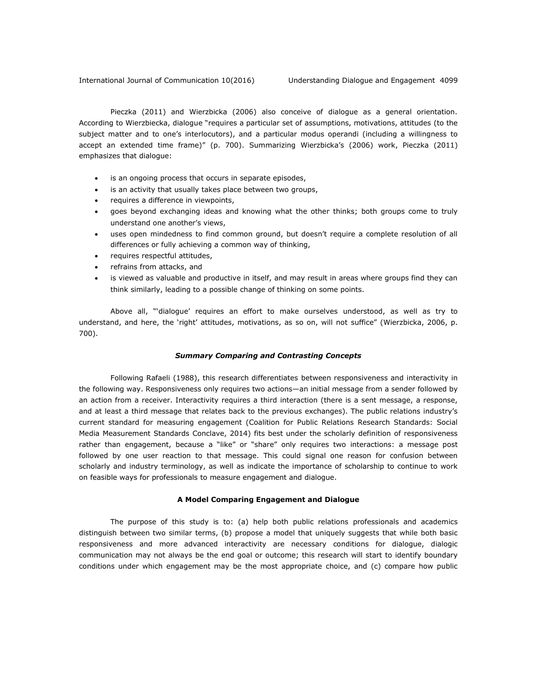International Journal of Communication 10(2016) Understanding Dialogue and Engagement 4099

Pieczka (2011) and Wierzbicka (2006) also conceive of dialogue as a general orientation. According to Wierzbiecka, dialogue "requires a particular set of assumptions, motivations, attitudes (to the subject matter and to one's interlocutors), and a particular modus operandi (including a willingness to accept an extended time frame)" (p. 700). Summarizing Wierzbicka's (2006) work, Pieczka (2011) emphasizes that dialogue:

- is an ongoing process that occurs in separate episodes,
- is an activity that usually takes place between two groups,
- requires a difference in viewpoints,
- goes beyond exchanging ideas and knowing what the other thinks; both groups come to truly understand one another's views,
- uses open mindedness to find common ground, but doesn't require a complete resolution of all differences or fully achieving a common way of thinking,
- requires respectful attitudes,
- refrains from attacks, and
- is viewed as valuable and productive in itself, and may result in areas where groups find they can think similarly, leading to a possible change of thinking on some points.

Above all, "'dialogue' requires an effort to make ourselves understood, as well as try to understand, and here, the 'right' attitudes, motivations, as so on, will not suffice" (Wierzbicka, 2006, p. 700).

#### *Summary Comparing and Contrasting Concepts*

Following Rafaeli (1988), this research differentiates between responsiveness and interactivity in the following way. Responsiveness only requires two actions—an initial message from a sender followed by an action from a receiver. Interactivity requires a third interaction (there is a sent message, a response, and at least a third message that relates back to the previous exchanges). The public relations industry's current standard for measuring engagement (Coalition for Public Relations Research Standards: Social Media Measurement Standards Conclave, 2014) fits best under the scholarly definition of responsiveness rather than engagement, because a "like" or "share" only requires two interactions: a message post followed by one user reaction to that message. This could signal one reason for confusion between scholarly and industry terminology, as well as indicate the importance of scholarship to continue to work on feasible ways for professionals to measure engagement and dialogue.

#### **A Model Comparing Engagement and Dialogue**

The purpose of this study is to: (a) help both public relations professionals and academics distinguish between two similar terms, (b) propose a model that uniquely suggests that while both basic responsiveness and more advanced interactivity are necessary conditions for dialogue, dialogic communication may not always be the end goal or outcome; this research will start to identify boundary conditions under which engagement may be the most appropriate choice, and (c) compare how public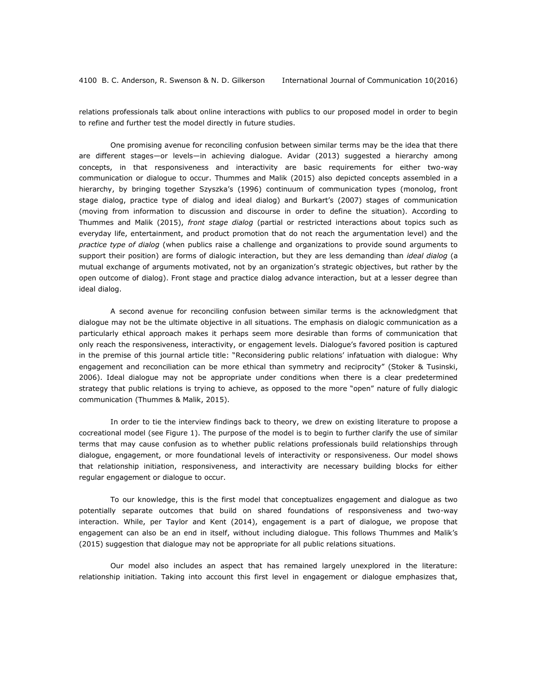relations professionals talk about online interactions with publics to our proposed model in order to begin to refine and further test the model directly in future studies.

One promising avenue for reconciling confusion between similar terms may be the idea that there are different stages—or levels—in achieving dialogue. Avidar (2013) suggested a hierarchy among concepts, in that responsiveness and interactivity are basic requirements for either two-way communication or dialogue to occur. Thummes and Malik (2015) also depicted concepts assembled in a hierarchy, by bringing together Szyszka's (1996) continuum of communication types (monolog, front stage dialog, practice type of dialog and ideal dialog) and Burkart's (2007) stages of communication (moving from information to discussion and discourse in order to define the situation). According to Thummes and Malik (2015), *front stage dialog* (partial or restricted interactions about topics such as everyday life, entertainment, and product promotion that do not reach the argumentation level) and the *practice type of dialog* (when publics raise a challenge and organizations to provide sound arguments to support their position) are forms of dialogic interaction, but they are less demanding than *ideal dialog* (a mutual exchange of arguments motivated, not by an organization's strategic objectives, but rather by the open outcome of dialog). Front stage and practice dialog advance interaction, but at a lesser degree than ideal dialog.

A second avenue for reconciling confusion between similar terms is the acknowledgment that dialogue may not be the ultimate objective in all situations. The emphasis on dialogic communication as a particularly ethical approach makes it perhaps seem more desirable than forms of communication that only reach the responsiveness, interactivity, or engagement levels. Dialogue's favored position is captured in the premise of this journal article title: "Reconsidering public relations' infatuation with dialogue: Why engagement and reconciliation can be more ethical than symmetry and reciprocity" (Stoker & Tusinski, 2006). Ideal dialogue may not be appropriate under conditions when there is a clear predetermined strategy that public relations is trying to achieve, as opposed to the more "open" nature of fully dialogic communication (Thummes & Malik, 2015).

In order to tie the interview findings back to theory, we drew on existing literature to propose a cocreational model (see Figure 1). The purpose of the model is to begin to further clarify the use of similar terms that may cause confusion as to whether public relations professionals build relationships through dialogue, engagement, or more foundational levels of interactivity or responsiveness. Our model shows that relationship initiation, responsiveness, and interactivity are necessary building blocks for either regular engagement or dialogue to occur.

To our knowledge, this is the first model that conceptualizes engagement and dialogue as two potentially separate outcomes that build on shared foundations of responsiveness and two-way interaction. While, per Taylor and Kent (2014), engagement is a part of dialogue, we propose that engagement can also be an end in itself, without including dialogue. This follows Thummes and Malik's (2015) suggestion that dialogue may not be appropriate for all public relations situations.

Our model also includes an aspect that has remained largely unexplored in the literature: relationship initiation. Taking into account this first level in engagement or dialogue emphasizes that,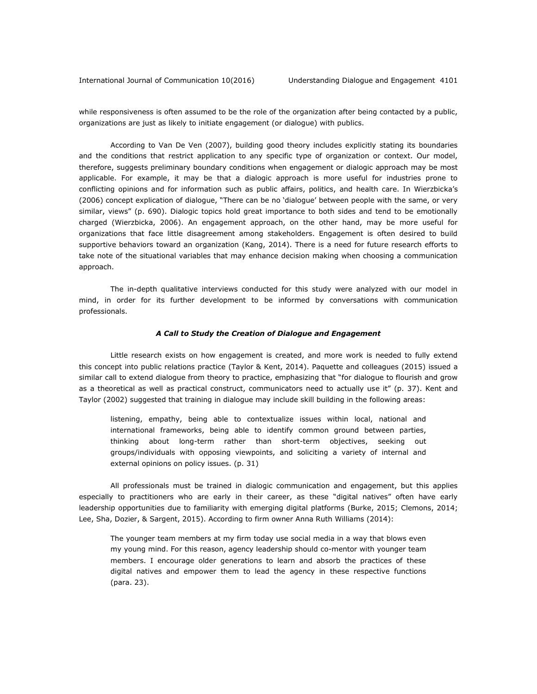while responsiveness is often assumed to be the role of the organization after being contacted by a public, organizations are just as likely to initiate engagement (or dialogue) with publics.

According to Van De Ven (2007), building good theory includes explicitly stating its boundaries and the conditions that restrict application to any specific type of organization or context. Our model, therefore, suggests preliminary boundary conditions when engagement or dialogic approach may be most applicable. For example, it may be that a dialogic approach is more useful for industries prone to conflicting opinions and for information such as public affairs, politics, and health care. In Wierzbicka's (2006) concept explication of dialogue, "There can be no 'dialogue' between people with the same, or very similar, views" (p. 690). Dialogic topics hold great importance to both sides and tend to be emotionally charged (Wierzbicka, 2006). An engagement approach, on the other hand, may be more useful for organizations that face little disagreement among stakeholders. Engagement is often desired to build supportive behaviors toward an organization (Kang, 2014). There is a need for future research efforts to take note of the situational variables that may enhance decision making when choosing a communication approach.

The in-depth qualitative interviews conducted for this study were analyzed with our model in mind, in order for its further development to be informed by conversations with communication professionals.

#### *A Call to Study the Creation of Dialogue and Engagement*

Little research exists on how engagement is created, and more work is needed to fully extend this concept into public relations practice (Taylor & Kent, 2014). Paquette and colleagues (2015) issued a similar call to extend dialogue from theory to practice, emphasizing that "for dialogue to flourish and grow as a theoretical as well as practical construct, communicators need to actually use it" (p. 37). Kent and Taylor (2002) suggested that training in dialogue may include skill building in the following areas:

listening, empathy, being able to contextualize issues within local, national and international frameworks, being able to identify common ground between parties, thinking about long-term rather than short-term objectives, seeking out groups/individuals with opposing viewpoints, and soliciting a variety of internal and external opinions on policy issues. (p. 31)

All professionals must be trained in dialogic communication and engagement, but this applies especially to practitioners who are early in their career, as these "digital natives" often have early leadership opportunities due to familiarity with emerging digital platforms (Burke, 2015; Clemons, 2014; Lee, Sha, Dozier, & Sargent, 2015). According to firm owner Anna Ruth Williams (2014):

The younger team members at my firm today use social media in a way that blows even my young mind. For this reason, agency leadership should co-mentor with younger team members. I encourage older generations to learn and absorb the practices of these digital natives and empower them to lead the agency in these respective functions (para. 23).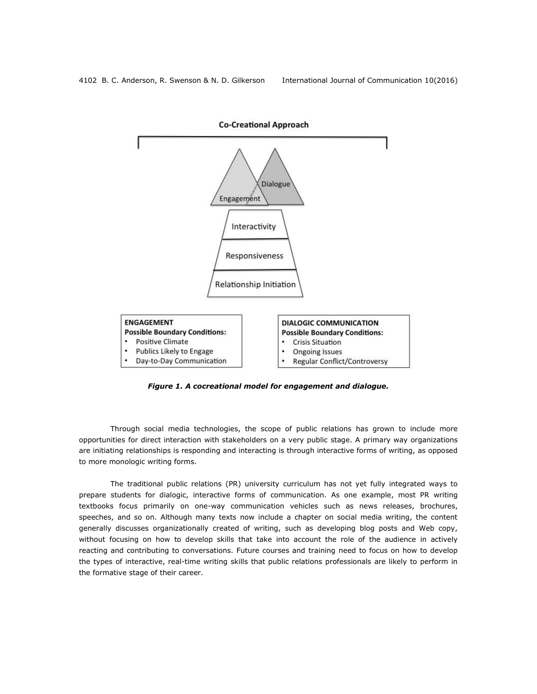

*Figure 1. A cocreational model for engagement and dialogue.*

Through social media technologies, the scope of public relations has grown to include more opportunities for direct interaction with stakeholders on a very public stage. A primary way organizations are initiating relationships is responding and interacting is through interactive forms of writing, as opposed to more monologic writing forms.

The traditional public relations (PR) university curriculum has not yet fully integrated ways to prepare students for dialogic, interactive forms of communication. As one example, most PR writing textbooks focus primarily on one-way communication vehicles such as news releases, brochures, speeches, and so on. Although many texts now include a chapter on social media writing, the content generally discusses organizationally created of writing, such as developing blog posts and Web copy, without focusing on how to develop skills that take into account the role of the audience in actively reacting and contributing to conversations. Future courses and training need to focus on how to develop the types of interactive, real-time writing skills that public relations professionals are likely to perform in the formative stage of their career.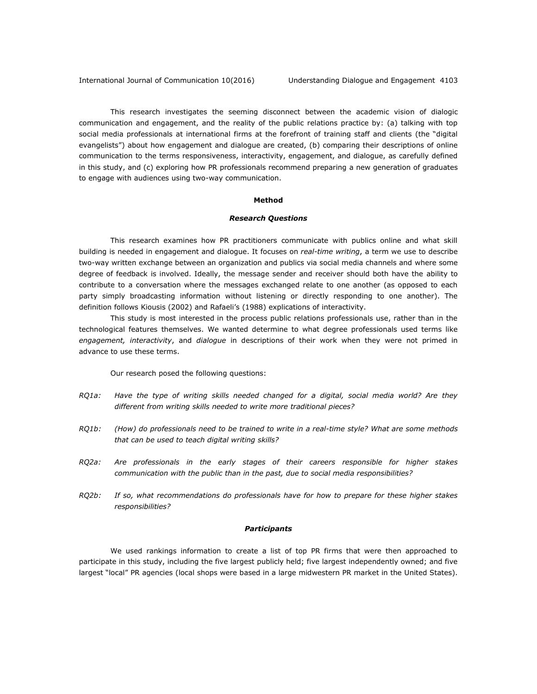This research investigates the seeming disconnect between the academic vision of dialogic communication and engagement, and the reality of the public relations practice by: (a) talking with top social media professionals at international firms at the forefront of training staff and clients (the "digital evangelists") about how engagement and dialogue are created, (b) comparing their descriptions of online communication to the terms responsiveness, interactivity, engagement, and dialogue, as carefully defined in this study, and (c) exploring how PR professionals recommend preparing a new generation of graduates to engage with audiences using two-way communication.

#### **Method**

#### *Research Questions*

This research examines how PR practitioners communicate with publics online and what skill building is needed in engagement and dialogue. It focuses on *real-time writing*, a term we use to describe two-way written exchange between an organization and publics via social media channels and where some degree of feedback is involved. Ideally, the message sender and receiver should both have the ability to contribute to a conversation where the messages exchanged relate to one another (as opposed to each party simply broadcasting information without listening or directly responding to one another). The definition follows Kiousis (2002) and Rafaeli's (1988) explications of interactivity.

This study is most interested in the process public relations professionals use, rather than in the technological features themselves. We wanted determine to what degree professionals used terms like *engagement, interactivity*, and *dialogue* in descriptions of their work when they were not primed in advance to use these terms.

Our research posed the following questions:

- *RQ1a: Have the type of writing skills needed changed for a digital, social media world? Are they different from writing skills needed to write more traditional pieces?*
- *RQ1b: (How) do professionals need to be trained to write in a real-time style? What are some methods that can be used to teach digital writing skills?*
- *RQ2a: Are professionals in the early stages of their careers responsible for higher stakes communication with the public than in the past, due to social media responsibilities?*
- *RQ2b: If so, what recommendations do professionals have for how to prepare for these higher stakes responsibilities?*

#### *Participants*

We used rankings information to create a list of top PR firms that were then approached to participate in this study, including the five largest publicly held; five largest independently owned; and five largest "local" PR agencies (local shops were based in a large midwestern PR market in the United States).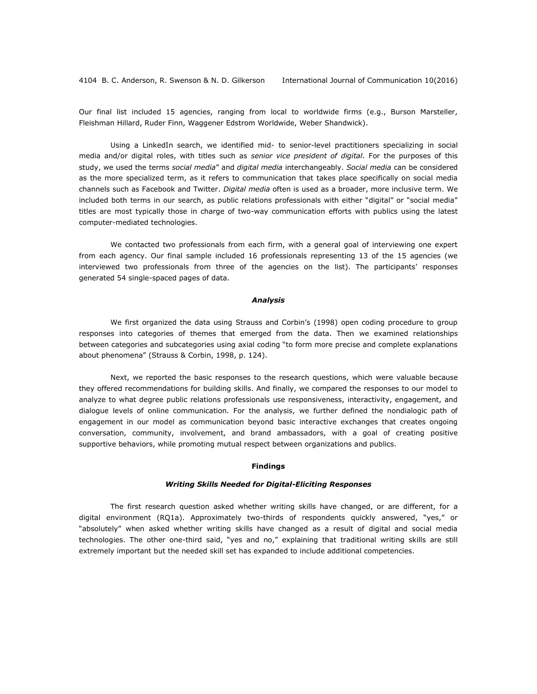Our final list included 15 agencies, ranging from local to worldwide firms (e.g., Burson Marsteller, Fleishman Hillard, Ruder Finn, Waggener Edstrom Worldwide, Weber Shandwick).

Using a LinkedIn search, we identified mid- to senior-level practitioners specializing in social media and/or digital roles, with titles such as *senior vice president of digital*. For the purposes of this study, we used the terms *social media*" and *digital media* interchangeably. *Social media* can be considered as the more specialized term, as it refers to communication that takes place specifically on social media channels such as Facebook and Twitter. *Digital media* often is used as a broader, more inclusive term. We included both terms in our search, as public relations professionals with either "digital" or "social media" titles are most typically those in charge of two-way communication efforts with publics using the latest computer-mediated technologies.

We contacted two professionals from each firm, with a general goal of interviewing one expert from each agency. Our final sample included 16 professionals representing 13 of the 15 agencies (we interviewed two professionals from three of the agencies on the list). The participants' responses generated 54 single-spaced pages of data.

#### *Analysis*

We first organized the data using Strauss and Corbin's (1998) open coding procedure to group responses into categories of themes that emerged from the data. Then we examined relationships between categories and subcategories using axial coding "to form more precise and complete explanations about phenomena" (Strauss & Corbin, 1998, p. 124).

Next, we reported the basic responses to the research questions, which were valuable because they offered recommendations for building skills. And finally, we compared the responses to our model to analyze to what degree public relations professionals use responsiveness, interactivity, engagement, and dialogue levels of online communication. For the analysis, we further defined the nondialogic path of engagement in our model as communication beyond basic interactive exchanges that creates ongoing conversation, community, involvement, and brand ambassadors, with a goal of creating positive supportive behaviors, while promoting mutual respect between organizations and publics.

#### **Findings**

#### *Writing Skills Needed for Digital-Eliciting Responses*

The first research question asked whether writing skills have changed, or are different, for a digital environment (RQ1a). Approximately two-thirds of respondents quickly answered, "yes," or "absolutely" when asked whether writing skills have changed as a result of digital and social media technologies. The other one-third said, "yes and no," explaining that traditional writing skills are still extremely important but the needed skill set has expanded to include additional competencies.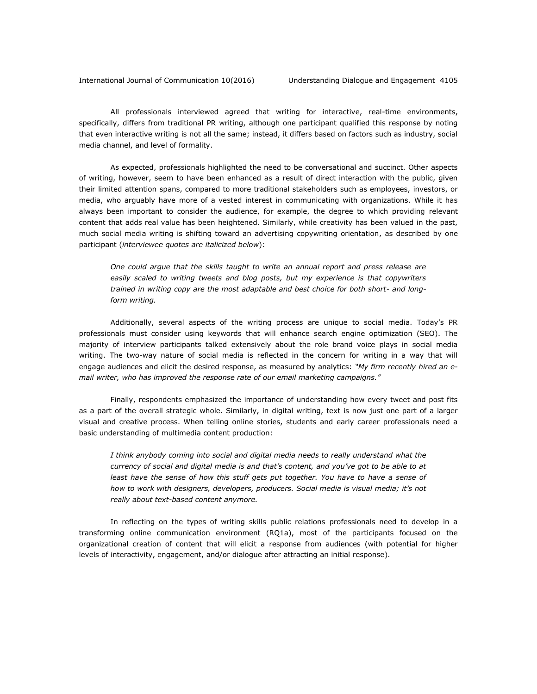All professionals interviewed agreed that writing for interactive, real-time environments, specifically, differs from traditional PR writing, although one participant qualified this response by noting that even interactive writing is not all the same; instead, it differs based on factors such as industry, social media channel, and level of formality.

As expected, professionals highlighted the need to be conversational and succinct. Other aspects of writing, however, seem to have been enhanced as a result of direct interaction with the public, given their limited attention spans, compared to more traditional stakeholders such as employees, investors, or media, who arguably have more of a vested interest in communicating with organizations. While it has always been important to consider the audience, for example, the degree to which providing relevant content that adds real value has been heightened. Similarly, while creativity has been valued in the past, much social media writing is shifting toward an advertising copywriting orientation, as described by one participant (*interviewee quotes are italicized below*):

*One could argue that the skills taught to write an annual report and press release are easily scaled to writing tweets and blog posts, but my experience is that copywriters trained in writing copy are the most adaptable and best choice for both short- and longform writing.*

Additionally, several aspects of the writing process are unique to social media. Today's PR professionals must consider using keywords that will enhance search engine optimization (SEO). The majority of interview participants talked extensively about the role brand voice plays in social media writing. The two-way nature of social media is reflected in the concern for writing in a way that will engage audiences and elicit the desired response, as measured by analytics: *"My firm recently hired an email writer, who has improved the response rate of our email marketing campaigns."*

Finally, respondents emphasized the importance of understanding how every tweet and post fits as a part of the overall strategic whole. Similarly, in digital writing, text is now just one part of a larger visual and creative process. When telling online stories, students and early career professionals need a basic understanding of multimedia content production:

*I think anybody coming into social and digital media needs to really understand what the currency of social and digital media is and that's content, and you've got to be able to at*  least have the sense of how this stuff gets put together. You have to have a sense of *how to work with designers, developers, producers. Social media is visual media; it's not really about text-based content anymore.*

In reflecting on the types of writing skills public relations professionals need to develop in a transforming online communication environment (RQ1a), most of the participants focused on the organizational creation of content that will elicit a response from audiences (with potential for higher levels of interactivity, engagement, and/or dialogue after attracting an initial response).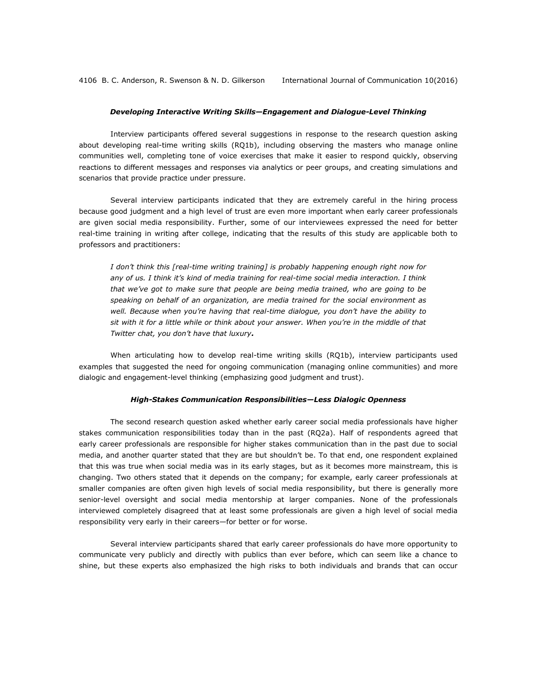#### *Developing Interactive Writing Skills—Engagement and Dialogue-Level Thinking*

Interview participants offered several suggestions in response to the research question asking about developing real-time writing skills (RQ1b), including observing the masters who manage online communities well, completing tone of voice exercises that make it easier to respond quickly, observing reactions to different messages and responses via analytics or peer groups, and creating simulations and scenarios that provide practice under pressure.

Several interview participants indicated that they are extremely careful in the hiring process because good judgment and a high level of trust are even more important when early career professionals are given social media responsibility. Further, some of our interviewees expressed the need for better real-time training in writing after college, indicating that the results of this study are applicable both to professors and practitioners:

*I don't think this [real-time writing training] is probably happening enough right now for any of us. I think it's kind of media training for real-time social media interaction. I think that we've got to make sure that people are being media trained, who are going to be speaking on behalf of an organization, are media trained for the social environment as well. Because when you're having that real-time dialogue, you don't have the ability to sit with it for a little while or think about your answer. When you're in the middle of that Twitter chat, you don't have that luxury.*

When articulating how to develop real-time writing skills (RQ1b), interview participants used examples that suggested the need for ongoing communication (managing online communities) and more dialogic and engagement-level thinking (emphasizing good judgment and trust).

#### *High-Stakes Communication Responsibilities—Less Dialogic Openness*

The second research question asked whether early career social media professionals have higher stakes communication responsibilities today than in the past (RQ2a). Half of respondents agreed that early career professionals are responsible for higher stakes communication than in the past due to social media, and another quarter stated that they are but shouldn't be. To that end, one respondent explained that this was true when social media was in its early stages, but as it becomes more mainstream, this is changing. Two others stated that it depends on the company; for example, early career professionals at smaller companies are often given high levels of social media responsibility, but there is generally more senior-level oversight and social media mentorship at larger companies. None of the professionals interviewed completely disagreed that at least some professionals are given a high level of social media responsibility very early in their careers—for better or for worse.

Several interview participants shared that early career professionals do have more opportunity to communicate very publicly and directly with publics than ever before, which can seem like a chance to shine, but these experts also emphasized the high risks to both individuals and brands that can occur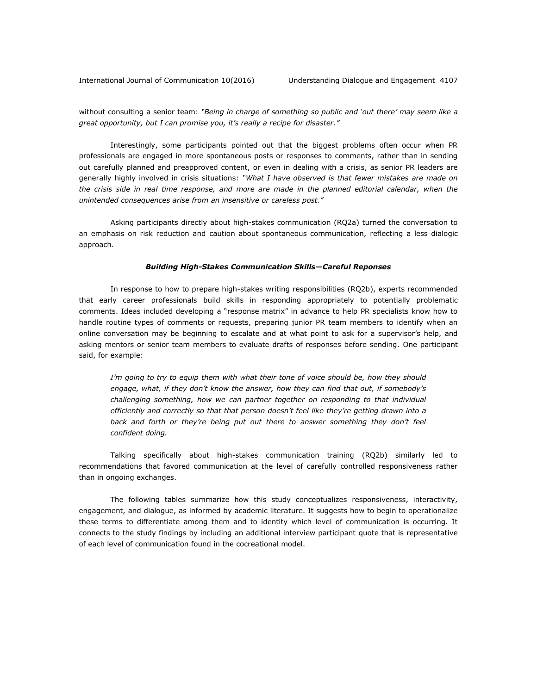without consulting a senior team: *"Being in charge of something so public and 'out there' may seem like a great opportunity, but I can promise you, it's really a recipe for disaster."*

Interestingly, some participants pointed out that the biggest problems often occur when PR professionals are engaged in more spontaneous posts or responses to comments, rather than in sending out carefully planned and preapproved content, or even in dealing with a crisis, as senior PR leaders are generally highly involved in crisis situations: *"What I have observed is that fewer mistakes are made on the crisis side in real time response, and more are made in the planned editorial calendar, when the unintended consequences arise from an insensitive or careless post."*

Asking participants directly about high-stakes communication (RQ2a) turned the conversation to an emphasis on risk reduction and caution about spontaneous communication, reflecting a less dialogic approach.

#### *Building High-Stakes Communication Skills—Careful Reponses*

In response to how to prepare high-stakes writing responsibilities (RQ2b), experts recommended that early career professionals build skills in responding appropriately to potentially problematic comments. Ideas included developing a "response matrix" in advance to help PR specialists know how to handle routine types of comments or requests, preparing junior PR team members to identify when an online conversation may be beginning to escalate and at what point to ask for a supervisor's help, and asking mentors or senior team members to evaluate drafts of responses before sending. One participant said, for example:

*I'm going to try to equip them with what their tone of voice should be, how they should engage, what, if they don't know the answer, how they can find that out, if somebody's challenging something, how we can partner together on responding to that individual efficiently and correctly so that that person doesn't feel like they're getting drawn into a back and forth or they're being put out there to answer something they don't feel confident doing.*

Talking specifically about high-stakes communication training (RQ2b) similarly led to recommendations that favored communication at the level of carefully controlled responsiveness rather than in ongoing exchanges.

The following tables summarize how this study conceptualizes responsiveness, interactivity, engagement, and dialogue, as informed by academic literature. It suggests how to begin to operationalize these terms to differentiate among them and to identity which level of communication is occurring. It connects to the study findings by including an additional interview participant quote that is representative of each level of communication found in the cocreational model.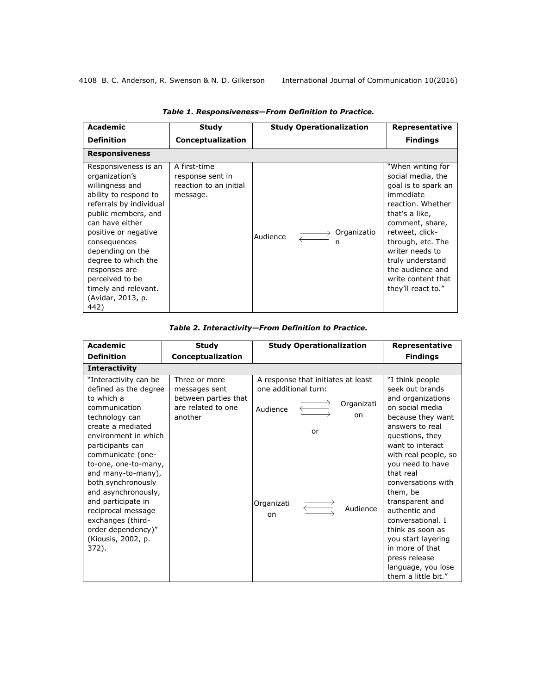| <b>Academic</b>                                                                                                                                                                                                                                                                                                                     | <b>Study</b>                                                           | <b>Study Operationalization</b>            | Representative                                                                                                                                                                                                                                                                      |
|-------------------------------------------------------------------------------------------------------------------------------------------------------------------------------------------------------------------------------------------------------------------------------------------------------------------------------------|------------------------------------------------------------------------|--------------------------------------------|-------------------------------------------------------------------------------------------------------------------------------------------------------------------------------------------------------------------------------------------------------------------------------------|
| <b>Definition</b>                                                                                                                                                                                                                                                                                                                   | Conceptualization                                                      |                                            | <b>Findings</b>                                                                                                                                                                                                                                                                     |
| <b>Responsiveness</b>                                                                                                                                                                                                                                                                                                               |                                                                        |                                            |                                                                                                                                                                                                                                                                                     |
| Responsiveness is an<br>organization's<br>willingness and<br>ability to respond to<br>referrals by individual<br>public members, and<br>can have either<br>positive or negative<br>consequences<br>depending on the<br>degree to which the<br>responses are<br>perceived to be<br>timely and relevant.<br>(Avidar, 2013, p.<br>442) | A first-time<br>response sent in<br>reaction to an initial<br>message. | $\rightarrow$ Organizatio<br>Audience<br>n | "When writing for<br>social media, the<br>goal is to spark an<br>immediate<br>reaction. Whether<br>that's a like,<br>comment, share,<br>retweet, click-<br>through, etc. The<br>writer needs to<br>truly understand<br>the audience and<br>write content that<br>they'll react to." |

*Table 1. Responsiveness—From Definition to Practice.*

| Table 2. Interactivity-From Definition to Practice. |
|-----------------------------------------------------|
|-----------------------------------------------------|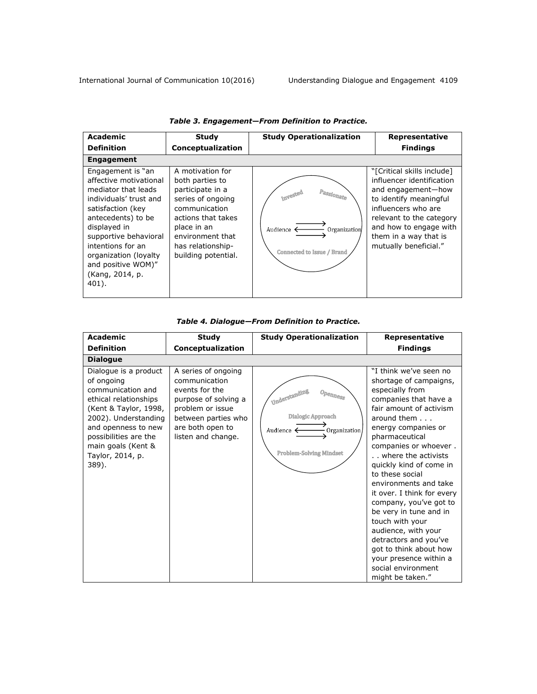| Academic                                                                                                                                                                                                                                                                          | <b>Study</b>                                                                                                                                                                                       | <b>Study Operationalization</b>                                                               | Representative                                                                                                                                                                                                                         |  |  |  |
|-----------------------------------------------------------------------------------------------------------------------------------------------------------------------------------------------------------------------------------------------------------------------------------|----------------------------------------------------------------------------------------------------------------------------------------------------------------------------------------------------|-----------------------------------------------------------------------------------------------|----------------------------------------------------------------------------------------------------------------------------------------------------------------------------------------------------------------------------------------|--|--|--|
| <b>Definition</b>                                                                                                                                                                                                                                                                 | Conceptualization                                                                                                                                                                                  |                                                                                               | <b>Findings</b>                                                                                                                                                                                                                        |  |  |  |
| <b>Engagement</b>                                                                                                                                                                                                                                                                 |                                                                                                                                                                                                    |                                                                                               |                                                                                                                                                                                                                                        |  |  |  |
| Engagement is "an<br>affective motivational<br>mediator that leads<br>individuals' trust and<br>satisfaction (key<br>antecedents) to be<br>displayed in<br>supportive behavioral<br>intentions for an<br>organization (loyalty)<br>and positive WOM)"<br>(Kang, 2014, p.<br>401). | A motivation for<br>both parties to<br>participate in a<br>series of ongoing<br>communication<br>actions that takes<br>place in an<br>environment that<br>has relationship-<br>building potential. | Passionate<br>Invested<br>Audience $\leftarrow$<br>Organization<br>Connected to Issue / Brand | "[Critical skills include]<br>influencer identification<br>and engagement-how<br>to identify meaningful<br>influencers who are<br>relevant to the category<br>and how to engage with<br>them in a way that is<br>mutually beneficial." |  |  |  |

## *Table 3. Engagement—From Definition to Practice.*

# *Table 4. Dialogue—From Definition to Practice.*

| <b>Academic</b>                                                                                                                                                                                                                       | <b>Study</b>                                                                                                                                                        | <b>Study Operationalization</b>                                                                                                                                                                  | Representative                                                                                                                                                                                                                                                                                                                                                                                                                                                                                                                                                       |
|---------------------------------------------------------------------------------------------------------------------------------------------------------------------------------------------------------------------------------------|---------------------------------------------------------------------------------------------------------------------------------------------------------------------|--------------------------------------------------------------------------------------------------------------------------------------------------------------------------------------------------|----------------------------------------------------------------------------------------------------------------------------------------------------------------------------------------------------------------------------------------------------------------------------------------------------------------------------------------------------------------------------------------------------------------------------------------------------------------------------------------------------------------------------------------------------------------------|
| <b>Definition</b>                                                                                                                                                                                                                     | Conceptualization                                                                                                                                                   |                                                                                                                                                                                                  | <b>Findings</b>                                                                                                                                                                                                                                                                                                                                                                                                                                                                                                                                                      |
| <b>Dialogue</b>                                                                                                                                                                                                                       |                                                                                                                                                                     |                                                                                                                                                                                                  |                                                                                                                                                                                                                                                                                                                                                                                                                                                                                                                                                                      |
| Dialogue is a product<br>of ongoing<br>communication and<br>ethical relationships<br>(Kent & Taylor, 1998,<br>2002). Understanding<br>and openness to new<br>possibilities are the<br>main goals (Kent &<br>Taylor, 2014, p.<br>389). | A series of ongoing<br>communication<br>events for the<br>purpose of solving a<br>problem or issue<br>between parties who<br>are both open to<br>listen and change. | Understanding<br>$\mathcal{O}p_{\mathcal{C}l \mathcal{D} \mathcal{C} \mathcal{S} \mathcal{S}}$<br>Dialogic Approach<br>Audience $\leftarrow$<br>- Organization<br><b>Problem-Solving Mindset</b> | "I think we've seen no<br>shortage of campaigns,<br>especially from<br>companies that have a<br>fair amount of activism<br>around them $\ldots$<br>energy companies or<br>pharmaceutical<br>companies or whoever.<br>. where the activists<br>quickly kind of come in<br>to these social<br>environments and take<br>it over. I think for every<br>company, you've got to<br>be very in tune and in<br>touch with your<br>audience, with your<br>detractors and you've<br>got to think about how<br>your presence within a<br>social environment<br>might be taken." |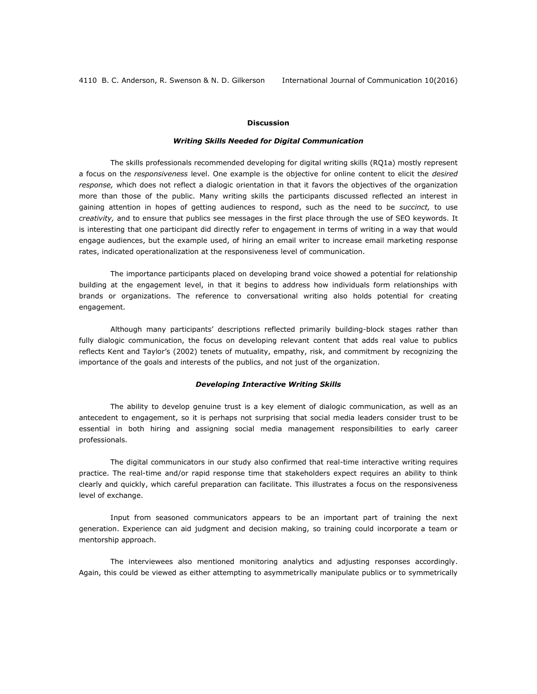#### **Discussion**

#### *Writing Skills Needed for Digital Communication*

The skills professionals recommended developing for digital writing skills (RQ1a) mostly represent a focus on the *responsiveness* level. One example is the objective for online content to elicit the *desired response,* which does not reflect a dialogic orientation in that it favors the objectives of the organization more than those of the public. Many writing skills the participants discussed reflected an interest in gaining attention in hopes of getting audiences to respond, such as the need to be *succinct,* to use *creativity,* and to ensure that publics see messages in the first place through the use of SEO keywords. It is interesting that one participant did directly refer to engagement in terms of writing in a way that would engage audiences, but the example used, of hiring an email writer to increase email marketing response rates, indicated operationalization at the responsiveness level of communication.

The importance participants placed on developing brand voice showed a potential for relationship building at the engagement level, in that it begins to address how individuals form relationships with brands or organizations. The reference to conversational writing also holds potential for creating engagement.

Although many participants' descriptions reflected primarily building-block stages rather than fully dialogic communication, the focus on developing relevant content that adds real value to publics reflects Kent and Taylor's (2002) tenets of mutuality, empathy, risk, and commitment by recognizing the importance of the goals and interests of the publics, and not just of the organization.

#### *Developing Interactive Writing Skills*

The ability to develop genuine trust is a key element of dialogic communication, as well as an antecedent to engagement, so it is perhaps not surprising that social media leaders consider trust to be essential in both hiring and assigning social media management responsibilities to early career professionals.

The digital communicators in our study also confirmed that real-time interactive writing requires practice. The real-time and/or rapid response time that stakeholders expect requires an ability to think clearly and quickly, which careful preparation can facilitate. This illustrates a focus on the responsiveness level of exchange.

Input from seasoned communicators appears to be an important part of training the next generation. Experience can aid judgment and decision making, so training could incorporate a team or mentorship approach.

The interviewees also mentioned monitoring analytics and adjusting responses accordingly. Again, this could be viewed as either attempting to asymmetrically manipulate publics or to symmetrically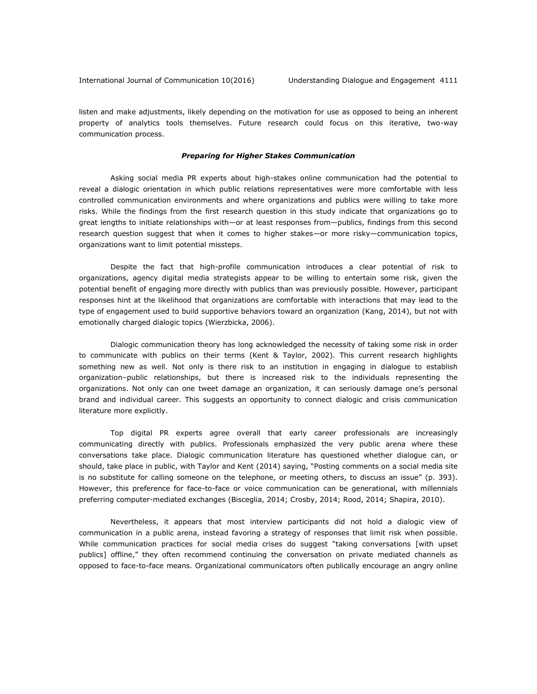listen and make adjustments, likely depending on the motivation for use as opposed to being an inherent property of analytics tools themselves. Future research could focus on this iterative, two-way communication process.

#### *Preparing for Higher Stakes Communication*

Asking social media PR experts about high-stakes online communication had the potential to reveal a dialogic orientation in which public relations representatives were more comfortable with less controlled communication environments and where organizations and publics were willing to take more risks. While the findings from the first research question in this study indicate that organizations go to great lengths to initiate relationships with—or at least responses from—publics, findings from this second research question suggest that when it comes to higher stakes—or more risky—communication topics, organizations want to limit potential missteps.

Despite the fact that high-profile communication introduces a clear potential of risk to organizations, agency digital media strategists appear to be willing to entertain some risk, given the potential benefit of engaging more directly with publics than was previously possible. However, participant responses hint at the likelihood that organizations are comfortable with interactions that may lead to the type of engagement used to build supportive behaviors toward an organization (Kang, 2014), but not with emotionally charged dialogic topics (Wierzbicka, 2006).

Dialogic communication theory has long acknowledged the necessity of taking some risk in order to communicate with publics on their terms (Kent & Taylor, 2002). This current research highlights something new as well. Not only is there risk to an institution in engaging in dialogue to establish organization–public relationships, but there is increased risk to the individuals representing the organizations. Not only can one tweet damage an organization, it can seriously damage one's personal brand and individual career. This suggests an opportunity to connect dialogic and crisis communication literature more explicitly.

Top digital PR experts agree overall that early career professionals are increasingly communicating directly with publics. Professionals emphasized the very public arena where these conversations take place. Dialogic communication literature has questioned whether dialogue can, or should, take place in public, with Taylor and Kent (2014) saying, "Posting comments on a social media site is no substitute for calling someone on the telephone, or meeting others, to discuss an issue" (p. 393). However, this preference for face-to-face or voice communication can be generational, with millennials preferring computer-mediated exchanges (Bisceglia, 2014; Crosby, 2014; Rood, 2014; Shapira, 2010).

Nevertheless, it appears that most interview participants did not hold a dialogic view of communication in a public arena, instead favoring a strategy of responses that limit risk when possible. While communication practices for social media crises do suggest "taking conversations [with upset publics] offline," they often recommend continuing the conversation on private mediated channels as opposed to face-to-face means. Organizational communicators often publically encourage an angry online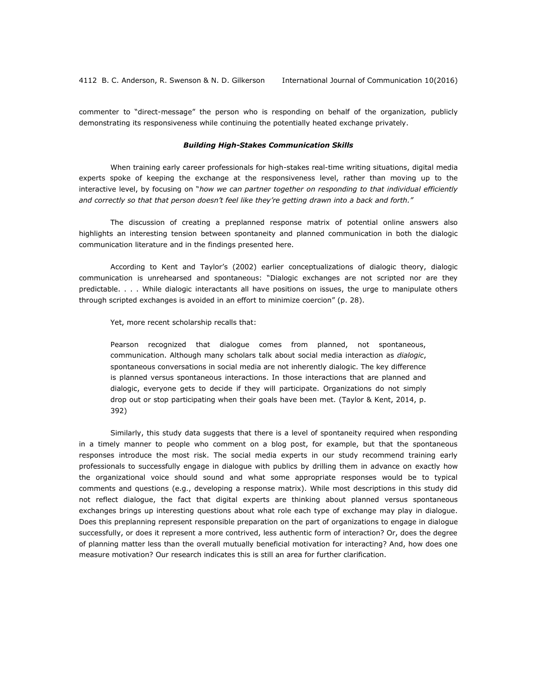commenter to "direct-message" the person who is responding on behalf of the organization*,* publicly demonstrating its responsiveness while continuing the potentially heated exchange privately.

#### *Building High-Stakes Communication Skills*

When training early career professionals for high-stakes real-time writing situations, digital media experts spoke of keeping the exchange at the responsiveness level, rather than moving up to the interactive level, by focusing on "*how we can partner together on responding to that individual efficiently and correctly so that that person doesn't feel like they're getting drawn into a back and forth."*

The discussion of creating a preplanned response matrix of potential online answers also highlights an interesting tension between spontaneity and planned communication in both the dialogic communication literature and in the findings presented here.

According to Kent and Taylor's (2002) earlier conceptualizations of dialogic theory, dialogic communication is unrehearsed and spontaneous: "Dialogic exchanges are not scripted nor are they predictable. . . . While dialogic interactants all have positions on issues, the urge to manipulate others through scripted exchanges is avoided in an effort to minimize coercion" (p. 28).

Yet, more recent scholarship recalls that:

Pearson recognized that dialogue comes from planned, not spontaneous, communication. Although many scholars talk about social media interaction as *dialogic*, spontaneous conversations in social media are not inherently dialogic. The key difference is planned versus spontaneous interactions. In those interactions that are planned and dialogic, everyone gets to decide if they will participate. Organizations do not simply drop out or stop participating when their goals have been met. (Taylor & Kent, 2014, p. 392)

Similarly, this study data suggests that there is a level of spontaneity required when responding in a timely manner to people who comment on a blog post, for example, but that the spontaneous responses introduce the most risk. The social media experts in our study recommend training early professionals to successfully engage in dialogue with publics by drilling them in advance on exactly how the organizational voice should sound and what some appropriate responses would be to typical comments and questions (e.g., developing a response matrix). While most descriptions in this study did not reflect dialogue, the fact that digital experts are thinking about planned versus spontaneous exchanges brings up interesting questions about what role each type of exchange may play in dialogue. Does this preplanning represent responsible preparation on the part of organizations to engage in dialogue successfully, or does it represent a more contrived, less authentic form of interaction? Or, does the degree of planning matter less than the overall mutually beneficial motivation for interacting? And, how does one measure motivation? Our research indicates this is still an area for further clarification.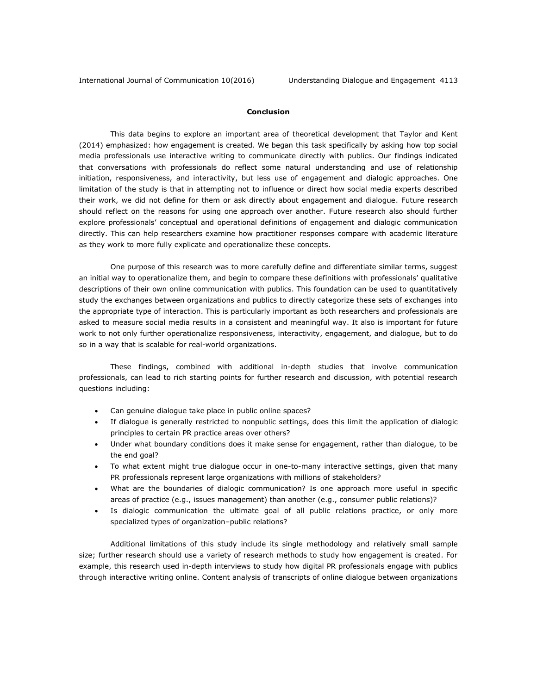#### **Conclusion**

This data begins to explore an important area of theoretical development that Taylor and Kent (2014) emphasized: how engagement is created. We began this task specifically by asking how top social media professionals use interactive writing to communicate directly with publics. Our findings indicated that conversations with professionals do reflect some natural understanding and use of relationship initiation, responsiveness, and interactivity, but less use of engagement and dialogic approaches. One limitation of the study is that in attempting not to influence or direct how social media experts described their work, we did not define for them or ask directly about engagement and dialogue. Future research should reflect on the reasons for using one approach over another. Future research also should further explore professionals' conceptual and operational definitions of engagement and dialogic communication directly. This can help researchers examine how practitioner responses compare with academic literature as they work to more fully explicate and operationalize these concepts.

One purpose of this research was to more carefully define and differentiate similar terms, suggest an initial way to operationalize them, and begin to compare these definitions with professionals' qualitative descriptions of their own online communication with publics. This foundation can be used to quantitatively study the exchanges between organizations and publics to directly categorize these sets of exchanges into the appropriate type of interaction. This is particularly important as both researchers and professionals are asked to measure social media results in a consistent and meaningful way. It also is important for future work to not only further operationalize responsiveness, interactivity, engagement, and dialogue, but to do so in a way that is scalable for real-world organizations.

These findings, combined with additional in-depth studies that involve communication professionals, can lead to rich starting points for further research and discussion, with potential research questions including:

- Can genuine dialogue take place in public online spaces?
- If dialogue is generally restricted to nonpublic settings, does this limit the application of dialogic principles to certain PR practice areas over others?
- Under what boundary conditions does it make sense for engagement, rather than dialogue, to be the end goal?
- To what extent might true dialogue occur in one-to-many interactive settings, given that many PR professionals represent large organizations with millions of stakeholders?
- What are the boundaries of dialogic communication? Is one approach more useful in specific areas of practice (e.g., issues management) than another (e.g., consumer public relations)?
- Is dialogic communication the ultimate goal of all public relations practice, or only more specialized types of organization–public relations?

Additional limitations of this study include its single methodology and relatively small sample size; further research should use a variety of research methods to study how engagement is created. For example, this research used in-depth interviews to study how digital PR professionals engage with publics through interactive writing online. Content analysis of transcripts of online dialogue between organizations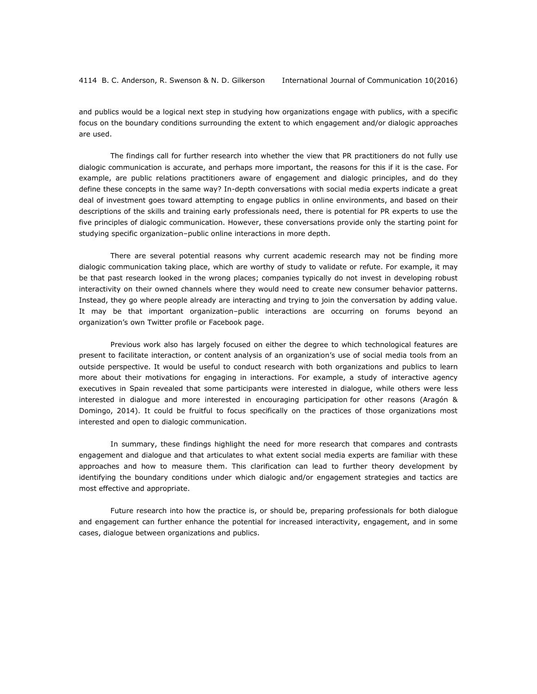and publics would be a logical next step in studying how organizations engage with publics, with a specific focus on the boundary conditions surrounding the extent to which engagement and/or dialogic approaches are used.

The findings call for further research into whether the view that PR practitioners do not fully use dialogic communication is accurate, and perhaps more important, the reasons for this if it is the case. For example, are public relations practitioners aware of engagement and dialogic principles, and do they define these concepts in the same way? In-depth conversations with social media experts indicate a great deal of investment goes toward attempting to engage publics in online environments, and based on their descriptions of the skills and training early professionals need, there is potential for PR experts to use the five principles of dialogic communication. However, these conversations provide only the starting point for studying specific organization–public online interactions in more depth.

There are several potential reasons why current academic research may not be finding more dialogic communication taking place, which are worthy of study to validate or refute. For example, it may be that past research looked in the wrong places; companies typically do not invest in developing robust interactivity on their owned channels where they would need to create new consumer behavior patterns. Instead, they go where people already are interacting and trying to join the conversation by adding value. It may be that important organization–public interactions are occurring on forums beyond an organization's own Twitter profile or Facebook page.

Previous work also has largely focused on either the degree to which technological features are present to facilitate interaction, or content analysis of an organization's use of social media tools from an outside perspective. It would be useful to conduct research with both organizations and publics to learn more about their motivations for engaging in interactions. For example, a study of interactive agency executives in Spain revealed that some participants were interested in dialogue, while others were less interested in dialogue and more interested in encouraging participation for other reasons (Aragón & Domingo, 2014). It could be fruitful to focus specifically on the practices of those organizations most interested and open to dialogic communication.

In summary, these findings highlight the need for more research that compares and contrasts engagement and dialogue and that articulates to what extent social media experts are familiar with these approaches and how to measure them. This clarification can lead to further theory development by identifying the boundary conditions under which dialogic and/or engagement strategies and tactics are most effective and appropriate.

Future research into how the practice is, or should be, preparing professionals for both dialogue and engagement can further enhance the potential for increased interactivity, engagement, and in some cases, dialogue between organizations and publics.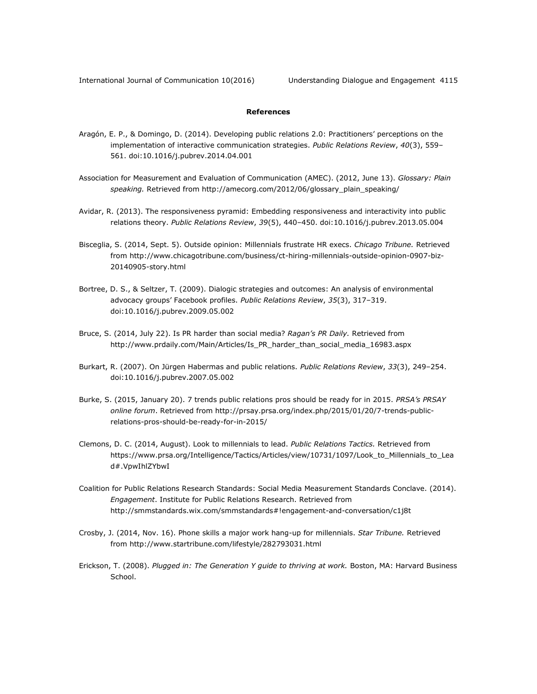### **References**

- Aragón, E. P., & Domingo, D. (2014). Developing public relations 2.0: Practitioners' perceptions on the implementation of interactive communication strategies. *Public Relations Review*, *40*(3), 559– 561. doi:10.1016/j.pubrev.2014.04.001
- Association for Measurement and Evaluation of Communication (AMEC). (2012, June 13). *Glossary: Plain speaking.* Retrieved from [http://amecorg.com/2012/06/glossary\\_plain\\_speaking/](http://amecorg.com/2012/06/glossary_plain_speaking/)
- Avidar, R. (2013). The responsiveness pyramid: Embedding responsiveness and interactivity into public relations theory. *Public Relations Review*, *39*(5), 440–450. doi:10.1016/j.pubrev.2013.05.004
- Bisceglia, S. (2014, Sept. 5). Outside opinion: Millennials frustrate HR execs. *Chicago Tribune.* Retrieved from [http://www.chicagotribune.com/business/ct-hiring-millennials-outside-opinion-0907-biz-](http://www.chicagotribune.com/business/ct-hiring-millennials-outside-opinion-0907-biz-20140905-story.html)[20140905-story.html](http://www.chicagotribune.com/business/ct-hiring-millennials-outside-opinion-0907-biz-20140905-story.html)
- Bortree, D. S., & Seltzer, T. (2009). Dialogic strategies and outcomes: An analysis of environmental advocacy groups' Facebook profiles. *Public Relations Review*, *35*(3), 317–319. doi:10.1016/j.pubrev.2009.05.002
- Bruce, S. (2014, July 22). Is PR harder than social media? *Ragan's PR Daily.* Retrieved from [http://www.prdaily.com/Main/Articles/Is\\_PR\\_harder\\_than\\_social\\_media\\_16983.aspx](http://www.prdaily.com/Main/Articles/Is_PR_harder_than_social_media_16983.aspx)
- Burkart, R. (2007). On Jürgen Habermas and public relations. *Public Relations Review*, *33*(3), 249–254. doi:10.1016/j.pubrev.2007.05.002
- Burke, S. (2015, January 20). 7 trends public relations pros should be ready for in 2015. *PRSA's PRSAY online forum*. Retrieved from [http://prsay.prsa.org/index.php/2015/01/20/7-trends-public](http://prsay.prsa.org/index.php/2015/01/20/7-trends-public-relations-pros-should-be-ready-for-in-2015/)[relations-pros-should-be-ready-for-in-2015/](http://prsay.prsa.org/index.php/2015/01/20/7-trends-public-relations-pros-should-be-ready-for-in-2015/)
- Clemons, D. C. (2014, August). Look to millennials to lead. *Public Relations Tactics.* Retrieved from [https://www.prsa.org/Intelligence/Tactics/Articles/view/10731/1097/Look\\_to\\_Millennials\\_to\\_Lea](https://www.prsa.org/Intelligence/Tactics/Articles/view/10731/1097/Look_to_Millennials_to_Lead#.VpwIhlZYbwI) [d#.VpwIhlZYbwI](https://www.prsa.org/Intelligence/Tactics/Articles/view/10731/1097/Look_to_Millennials_to_Lead#.VpwIhlZYbwI)
- Coalition for Public Relations Research Standards: Social Media Measurement Standards Conclave. (2014). *Engagement*. Institute for Public Relations Research. Retrieved from <http://smmstandards.wix.com/smmstandards#!engagement-and-conversation/c1j8t>
- Crosby, J. (2014, Nov. 16). Phone skills a major work hang-up for millennials. *Star Tribune.* [Retrieved](http://www.startribune.com/lifestyle/282793031.html)  [from http://www.startribune.com/lifestyle/282793031.html](http://www.startribune.com/lifestyle/282793031.html)
- Erickson, T. (2008). *Plugged in: The Generation Y guide to thriving at work.* Boston, MA: Harvard Business School.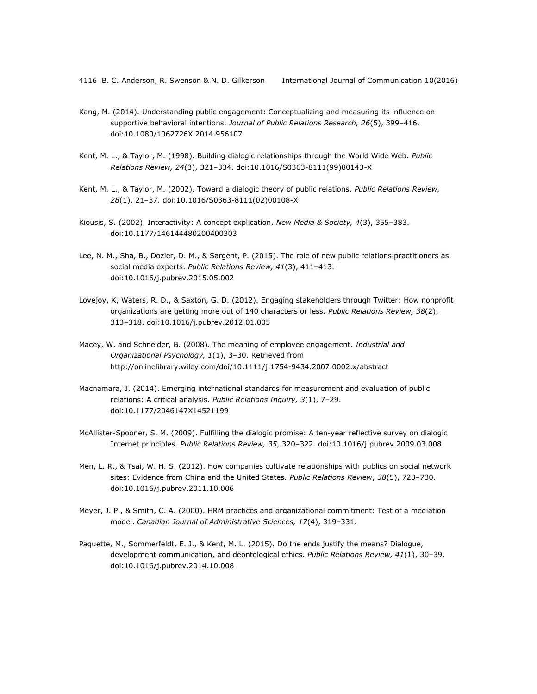- Kang, M. (2014). Understanding public engagement: Conceptualizing and measuring its influence on supportive behavioral intentions. *Journal of Public Relations Research, 26*(5), 399–416. doi:10.1080/1062726X.2014.956107
- Kent, M. L., & Taylor, M. (1998). Building dialogic relationships through the World Wide Web. *Public Relations Review, 24*(3), 321–334. doi:10.1016/S0363-8111(99)80143-X
- Kent, M. L., & Taylor, M. (2002). Toward a dialogic theory of public relations. *Public Relations Review, 28*(1), 21–37. doi:10.1016/S0363-8111(02)00108-X
- Kiousis, S. (2002). Interactivity: A concept explication. *New Media & Society, 4*(3), 355–383. doi:10.1177/146144480200400303
- Lee, N. M., Sha, B., Dozier, D. M., & Sargent, P. (2015). The role of new public relations practitioners as social media experts. *Public Relations Review, 41*(3), 411–413. doi:10.1016/j.pubrev.2015.05.002
- Lovejoy, K, Waters, R. D., & Saxton, G. D. (2012). Engaging stakeholders through Twitter: How nonprofit organizations are getting more out of 140 characters or less. *Public Relations Review, 38*(2), 313–318. doi:10.1016/j.pubrev.2012.01.005
- Macey, W. and Schneider, B. (2008). The meaning of employee engagement. *Industrial and Organizational Psychology, 1*(1), 3–30. Retrieved from <http://onlinelibrary.wiley.com/doi/10.1111/j.1754-9434.2007.0002.x/abstract>
- Macnamara, J. (2014). Emerging international standards for measurement and evaluation of public relations: A critical analysis. *Public Relations Inquiry, 3*(1), 7–29. doi:10.1177/2046147X14521199
- McAllister-Spooner, S. M. (2009). Fulfilling the dialogic promise: A ten-year reflective survey on dialogic Internet principles. *Public Relations Review, 35*, 320–322. doi:10.1016/j.pubrev.2009.03.008
- Men, L. R., & Tsai, W. H. S. (2012). How companies cultivate relationships with publics on social network sites: Evidence from China and the United States. *Public Relations Review*, *38*(5), 723–730. doi:10.1016/j.pubrev.2011.10.006
- Meyer, J. P., & Smith, C. A. (2000). HRM practices and organizational commitment: Test of a mediation model. *Canadian Journal of Administrative Sciences, 17*(4), 319–331.
- Paquette, M., Sommerfeldt, E. J., & Kent, M. L. (2015). Do the ends justify the means? Dialogue, development communication, and deontological ethics. *Public Relations Review, 41*(1), 30–39. doi:10.1016/j.pubrev.2014.10.008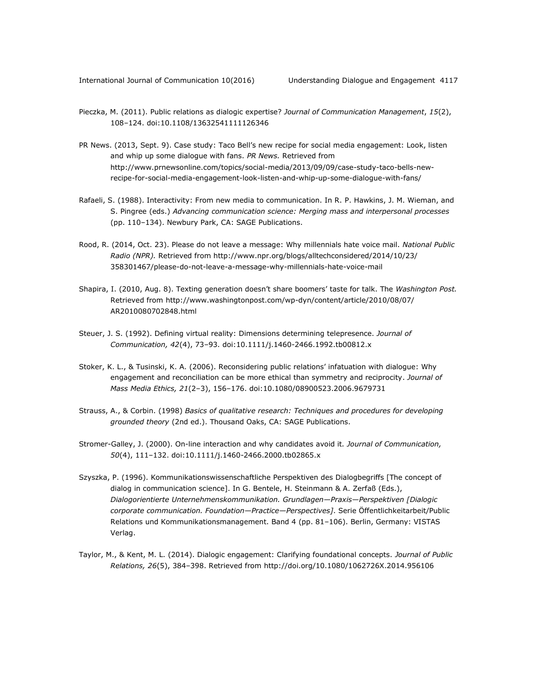- Pieczka, M. (2011). Public relations as dialogic expertise? *Journal of Communication Management*, *15*(2), 108–124. doi:10.1108/13632541111126346
- PR News. (2013, Sept. 9). Case study: Taco Bell's new recipe for social media engagement: Look, listen and whip up some dialogue with fans. *PR News.* Retrieved from [http://www.prnewsonline.com/topics/social-media/2013/09/09/case-study-taco-bells-new](http://www.prnewsonline.com/topics/social-media/2013/09/09/case-study-taco-bells-new-recipe-for-social-media-engagement-look-listen-and-whip-up-some-dialogue-with-fans/)[recipe-for-social-media-engagement-look-listen-and-whip-up-some-dialogue-with-fans/](http://www.prnewsonline.com/topics/social-media/2013/09/09/case-study-taco-bells-new-recipe-for-social-media-engagement-look-listen-and-whip-up-some-dialogue-with-fans/)
- Rafaeli, S. (1988). Interactivity: From new media to communication. In R. P. Hawkins, J. M. Wieman, and S. Pingree (eds.) *Advancing communication science: Merging mass and interpersonal processes*  (pp. 110–134). Newbury Park, CA: SAGE Publications.
- Rood, R. (2014, Oct. 23). Please do not leave a message: Why millennials hate voice mail. *National Public Radio (NPR).* Retrieved from [http://www.npr.org/blogs/alltechconsidered/2014/10/23/](http://www.npr.org/blogs/alltechconsidered/2014/10/23/%0b358301467/please-do-not-leave-a-message-why-millennials-hate-voice-mail) [358301467/please-do-not-leave-a-message-why-millennials-hate-voice-mail](http://www.npr.org/blogs/alltechconsidered/2014/10/23/%0b358301467/please-do-not-leave-a-message-why-millennials-hate-voice-mail)
- Shapira, I. (2010, Aug. 8). Texting generation doesn't share boomers' taste for talk. The *Washington Post.* Retrieved from [http://www.washingtonpost.com/wp-dyn/content/article/2010/08/07/](http://www.washingtonpost.com/wp-dyn/content/article/2010/08/07/%0bAR2010080702848.html) [AR2010080702848.html](http://www.washingtonpost.com/wp-dyn/content/article/2010/08/07/%0bAR2010080702848.html)
- Steuer, J. S. (1992). Defining virtual reality: Dimensions determining telepresence. *Journal of Communication, 42*(4), 73–93. doi:10.1111/j.1460-2466.1992.tb00812.x
- Stoker, K. L., & Tusinski, K. A. (2006). Reconsidering public rel[ations' infatuation with dialogue: Why](http://www.tandfonline.com/doi/abs/10.1080/08900523.2006.9679731)  [engagement and reconciliation can be more ethical than symmetry and reciprocity.](http://www.tandfonline.com/doi/abs/10.1080/08900523.2006.9679731) *[Journal of](http://www.tandfonline.com/toc/hmme20/21/2-3)  Mass Media Ethics, 21*(2–3), 156–[176. doi:10.1080/08900523.2006.9679731](http://www.tandfonline.com/toc/hmme20/21/2-3)
- Strauss, A., & Corbin. (1998) *Basics of qualitative research: Techniques and procedures for developing grounded theory* (2nd ed.). Thousand Oaks, CA: SAGE Publications.
- Stromer-Galley, J. (2000). On-line interaction and why candidates avoid it*. Journal of Communication, 50*(4), 111–132. doi:10.1111/j.1460-2466.2000.tb02865.x
- Szyszka, P. (1996). Kommunikationswissenschaftliche Perspektiven des Dialogbegriffs [The concept of dialog in communication science]. In G. Bentele, H. Steinmann & A. Zerfaß (Eds.), *Dialogorientierte Unternehmenskommunikation. Grundlagen—Praxis—Perspektiven [Dialogic corporate communication. Foundation—Practice—Perspectives]*. Serie Öffentlichkeitarbeit/Public Relations und Kommunikationsmanagement. Band 4 (pp. 81–106). Berlin, Germany: VISTAS Verlag.
- Taylor, M., & Kent, M. L. (2014). Dialogic engagement: Clarifying foundational concepts. *Journal of Public Relations, 26*(5), 384–398. Retrieved from<http://doi.org/10.1080/1062726X.2014.956106>